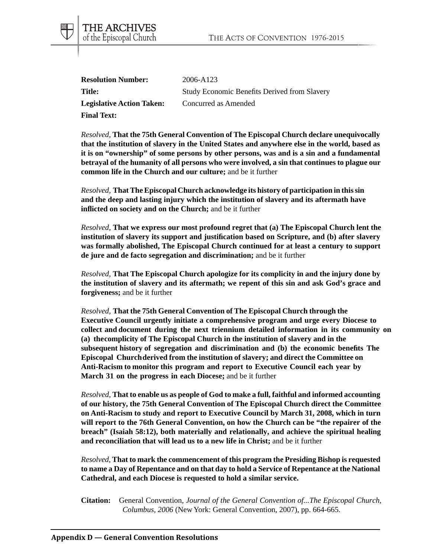| <b>Resolution Number:</b>        | 2006-A123                                           |
|----------------------------------|-----------------------------------------------------|
| Title:                           | <b>Study Economic Benefits Derived from Slavery</b> |
| <b>Legislative Action Taken:</b> | Concurred as Amended                                |
| <b>Final Text:</b>               |                                                     |

THE ARCHIVES of the Episcopal Church

*Resolved*, **That the 75th General Convention of The Episcopal Church declare unequivocally that the institution of slavery in the United States and anywhere else in the world, based as it is on "ownership" of some persons by other persons, was and is a sin and a fundamental betrayal of the humanity of all persons who were involved, a sin that continues to plague our common life in the Church and our culture;** and be it further

*Resolved,* **That The Episcopal Church acknowledge its history of participation in this sin and the deep and lasting injury which the institution of slavery and its aftermath have inflicted on society and on the Church;** and be it further

*Resolved,* **That we express our most profound regret that (a) The Episcopal Church lent the institution of slavery its support and justification based on Scripture, and (b) after slavery was formally abolished, The Episcopal Church continued for at least a century to support de jure and de facto segregation and discrimination;** and be it further

*Resolved,* **That The Episcopal Church apologize for its complicity in and the injury done by the institution of slavery and its aftermath; we repent of this sin and ask God's grace and forgiveness;** and be it further

*Resolved,* **That the 75th General Convention of The Episcopal Church through the Executive Council urgently initiate a comprehensive program and urge every Diocese to collect and document during the next triennium detailed information in its community on (a) thecomplicity of The Episcopal Church in the institution of slavery and in the subsequent history of segregation and discrimination and (b) the economic benefits The Episcopal Churchderived from the institution of slavery; and direct the Committee on Anti-Racism to monitor this program and report to Executive Council each year by March 31 on the progress in each Diocese;** and be it further

*Resolved,* **That to enable us as people of God to make a full, faithful and informed accounting of our history, the 75th General Convention of The Episcopal Church direct the Committee on Anti-Racism to study and report to Executive Council by March 31, 2008, which in turn will report to the 76th General Convention, on how the Church can be "the repairer of the breach" (Isaiah 58:12), both materially and relationally, and achieve the spiritual healing and reconciliation that will lead us to a new life in Christ;** and be it further

*Resolved,* **That to mark the commencement of this program the Presiding Bishop is requested to name a Day of Repentance and on that day to hold a Service of Repentance at the National Cathedral, and each Diocese is requested to hold a similar service.**

**Citation:** General Convention, *Journal of the General Convention of...The Episcopal Church, Columbus, 2006* (New York: General Convention, 2007), pp. 664-665.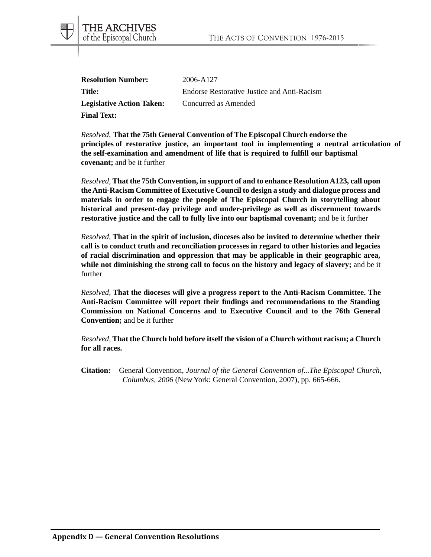| <b>Resolution Number:</b>        | 2006-A127                                          |
|----------------------------------|----------------------------------------------------|
| Title:                           | <b>Endorse Restorative Justice and Anti-Racism</b> |
| <b>Legislative Action Taken:</b> | Concurred as Amended                               |
| <b>Final Text:</b>               |                                                    |

THE ARCHIVES of the Episcopal Church

*Resolved*, **That the 75th General Convention of The Episcopal Church endorse the principles of restorative justice, an important tool in implementing a neutral articulation of the self-examination and amendment of life that is required to fulfill our baptismal covenant;** and be it further

*Resolved,* **That the 75th Convention, in support of and to enhance Resolution A123, call upon the Anti-Racism Committee of Executive Council to design a study and dialogue process and materials in order to engage the people of The Episcopal Church in storytelling about historical and present-day privilege and under-privilege as well as discernment towards restorative justice and the call to fully live into our baptismal covenant;** and be it further

*Resolved,* **That in the spirit of inclusion, dioceses also be invited to determine whether their call is to conduct truth and reconciliation processes in regard to other histories and legacies of racial discrimination and oppression that may be applicable in their geographic area, while not diminishing the strong call to focus on the history and legacy of slavery;** and be it further

*Resolved,* **That the dioceses will give a progress report to the Anti-Racism Committee. The Anti-Racism Committee will report their findings and recommendations to the Standing Commission on National Concerns and to Executive Council and to the 76th General Convention;** and be it further

*Resolved,* **That the Church hold before itself the vision of a Church without racism; a Church for all races.**

**Citation:** General Convention, *Journal of the General Convention of...The Episcopal Church, Columbus, 2006* (New York: General Convention, 2007), pp. 665-666.